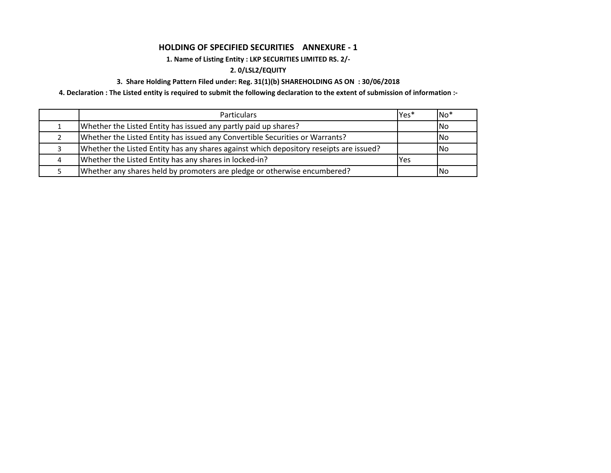## **HOLDING OF SPECIFIED SECURITIES ANNEXURE - 1**

# **1. Name of Listing Entity : LKP SECURITIES LIMITED RS. 2/-**

## **2. 0/LSL2/EQUITY**

## **3. Share Holding Pattern Filed under: Reg. 31(1)(b) SHAREHOLDING AS ON : 30/06/2018**

**4. Declaration : The Listed entity is required to submit the following declaration to the extent of submission of information :-**

| <b>Particulars</b>                                                                     | Yes* | $No*$ |
|----------------------------------------------------------------------------------------|------|-------|
| Whether the Listed Entity has issued any partly paid up shares?                        |      | INo.  |
| Whether the Listed Entity has issued any Convertible Securities or Warrants?           |      | INo.  |
| Whether the Listed Entity has any shares against which depository reseipts are issued? |      | INo.  |
| Whether the Listed Entity has any shares in locked-in?                                 | Yes  |       |
| Whether any shares held by promoters are pledge or otherwise encumbered?               |      | INo.  |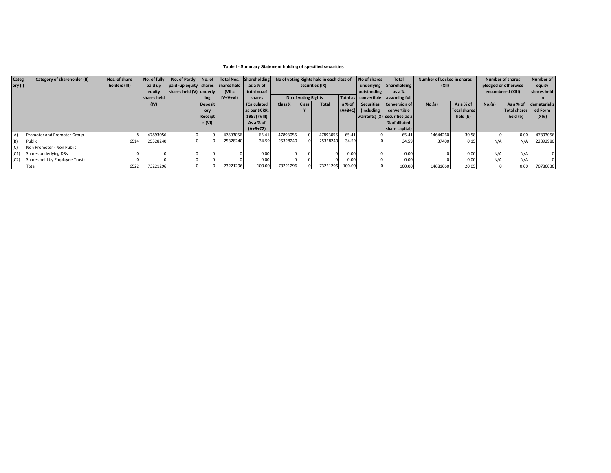### **Table I - Summary Statement holding of specified securities**

|    | Categ     | Category of shareholder (II)        | Nos. of share |             | No. of fully No. of Partly No. of Total Nos. Shareholding |                |           |              | No of voting Rights held in each class of |                     |              | No of shares                     | <b>Total</b>                           | Number of Locked in shares       |          | <b>Number of shares</b> |                   | Number of    |                        |
|----|-----------|-------------------------------------|---------------|-------------|-----------------------------------------------------------|----------------|-----------|--------------|-------------------------------------------|---------------------|--------------|----------------------------------|----------------------------------------|----------------------------------|----------|-------------------------|-------------------|--------------|------------------------|
|    | ory $(I)$ |                                     | holders (III) | paid up     | paid-up equity shares shares held                         |                |           | as a % of    | securities (IX)                           |                     |              | (XII)<br>underlying Shareholding |                                        | pledged or otherwise             |          |                         | equity            |              |                        |
|    |           |                                     |               | equity      | shares held (V) underly                                   |                | $(VII =$  | total no.of  |                                           |                     |              |                                  | outstanding                            | as a %                           |          |                         | encumbered (XIII) |              | shares held            |
|    |           |                                     |               | shares held |                                                           | ing            | $IV+V+VI$ | shares       |                                           | No of voting Rights |              |                                  | Total as   convertible   assuming full |                                  |          |                         |                   |              |                        |
|    |           |                                     |               | (IV)        |                                                           | <b>Deposit</b> |           | (Calculated  | Class X                                   | Class               | <b>Total</b> | a% of                            |                                        | Securities Conversion of         | No.(a)   | As a % of               | No.(a)            |              | As a % of dematerializ |
|    |           |                                     |               |             |                                                           | ory            |           | as per SCRR, |                                           |                     |              | $(A+B+C)$                        | <i>(including</i>                      | convertible                      |          | Total shares            |                   | Total shares | ed Form                |
|    |           |                                     |               |             |                                                           | Receipt        |           | 1957) (VIII) |                                           |                     |              |                                  |                                        | warrants) $(X)$ securities (as a |          | held (b)                |                   | held (b)     | (XIV)                  |
|    |           |                                     |               |             |                                                           | s (VI)         |           | As a % of    |                                           |                     |              |                                  |                                        | % of diluted                     |          |                         |                   |              |                        |
|    |           |                                     |               |             |                                                           |                |           | $(A+B+C2)$   |                                           |                     |              |                                  |                                        | share capital)                   |          |                         |                   |              |                        |
| (A |           | Promoter and Promoter Group         |               | 47893056    |                                                           |                | 47893056  | 65.41        | 47893056                                  |                     | 47893056     | 65.41                            |                                        | 65.41                            | 14644260 | 30.58                   |                   | 0.00         | 47893056               |
|    | (B)       | Public                              | 6514          | 25328240    |                                                           |                | 25328240  | 34.59        | 25328240                                  |                     | 25328240     | 34.59                            |                                        | 34.59                            | 37400    | 0.15                    | N/A               | N/A          | 22892980               |
|    | (C)       | Non Promoter - Non Public           |               |             |                                                           |                |           |              |                                           |                     |              |                                  |                                        |                                  |          |                         |                   |              |                        |
|    |           | Shares underlying DRs               |               |             |                                                           |                |           | 0.00         |                                           |                     |              | 0.00                             |                                        | 0.00                             |          | 0.00                    | N/A               | N/A          |                        |
|    |           | (C2) Shares held by Employee Trusts |               |             |                                                           |                |           | 0.00         |                                           |                     |              | 0.00                             |                                        | 0.00                             |          | 0.00 <sub>1</sub>       | N/A               | N/A          |                        |
|    |           | Total                               | 6522          | 73221296    |                                                           |                | 73221296  | 100.00       | 73221296                                  |                     | 73221296     | 100.00                           |                                        | 100.00                           | 14681660 | 20.05                   |                   | 0.00         | 70786036               |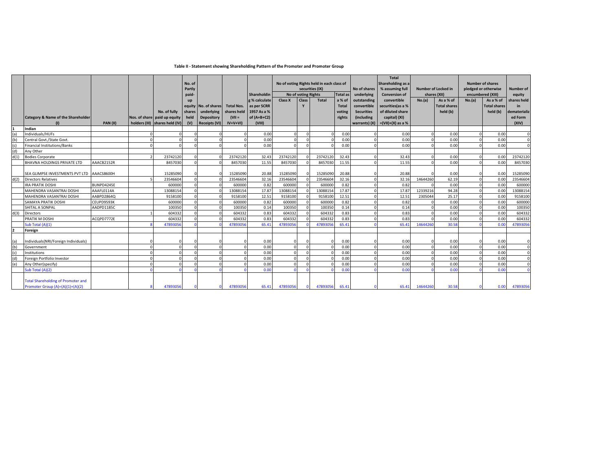### **Table II - Statement showing Shareholding Pattern of the Promoter and Promoter Group**

|      |                                               |                |                                |          |                      |                   |               |          |                                           |          |                 |                   | <b>Total</b>               |          |                      |                   |                         |              |
|------|-----------------------------------------------|----------------|--------------------------------|----------|----------------------|-------------------|---------------|----------|-------------------------------------------|----------|-----------------|-------------------|----------------------------|----------|----------------------|-------------------|-------------------------|--------------|
|      |                                               |                |                                | No. of   |                      |                   |               |          | No of voting Rights held in each class of |          |                 |                   | Shareholding as a          |          |                      |                   | <b>Number of shares</b> |              |
|      |                                               |                |                                | Partly   |                      |                   |               |          | securities (IX)                           |          | No of shares    | % assuming full   | <b>Number of Locked in</b> |          | pledged or otherwise |                   | Number of               |              |
|      |                                               |                |                                | paid-    |                      |                   | Shareholdin   |          | No of voting Rights                       |          | <b>Total as</b> | underlying        | <b>Conversion of</b>       |          | shares (XII)         | encumbered (XIII) |                         | equity       |
|      |                                               |                |                                | up       |                      |                   | g % calculate | Class X  | Class                                     | Total    | a % of          | outstanding       | convertible                | No.(a)   | As a % of            | No.(a)            | As a % of               | shares held  |
|      |                                               |                |                                |          | equity No. of shares | <b>Total Nos.</b> | as per SCRR   |          | Y                                         |          | <b>Total</b>    | convertible       | securities (as a %         |          | <b>Total shares</b>  |                   | <b>Total shares</b>     | in           |
|      |                                               |                | No. of fully                   | shares   | underlying           | shares held       | 1957 As a %   |          |                                           |          | voting          | <b>Securities</b> | of diluted share           |          | held (b)             |                   | held (b)                | dematerializ |
|      | <b>Category &amp; Name of the Shareholder</b> |                | Nos. of share paid up equity   | held     | Depository           | $(VII =$          | of $(A+B+C2)$ |          |                                           |          | rights          | (including        | capital) (XI)              |          |                      |                   |                         | ed Form      |
|      | (1)                                           | <b>PAN(II)</b> | holders (III) shares held (IV) | (V)      | <b>Receipts (VI)</b> | $IV+V+VI$         | (VIII)        |          |                                           |          |                 | warrants) (X)     | $=(VII)+(X)$ as a %        |          |                      |                   |                         | (XIV)        |
|      | Indian                                        |                |                                |          |                      |                   |               |          |                                           |          |                 |                   |                            |          |                      |                   |                         |              |
|      | Individuals/HUFs                              |                |                                |          |                      | $\Omega$          | 0.00          |          |                                           |          | 0.00            |                   | 0.00                       |          | 0.00                 | $\Omega$          | 0.00                    | $\Omega$     |
|      | Central Govt./State Govt.                     |                |                                |          |                      | $\Omega$          | 0.00          |          |                                           |          | 0.00            |                   | 0.00                       |          | 0.00                 | $\cap$            | 0.00                    | $\Omega$     |
|      | <b>Financial Institutions/Banks</b>           |                |                                |          |                      | $\Omega$          | 0.00          | r        |                                           |          | 0.00            |                   | 0.00                       |          | 0.00                 | $\Omega$          | 0.00                    | $\Omega$     |
|      | Anv Other                                     |                |                                |          |                      |                   |               |          |                                           |          |                 |                   |                            |          |                      |                   |                         |              |
| d(1) | <b>Bodies Corporate</b>                       |                | 23742120                       |          |                      | 23742120          | 32.43         | 23742120 |                                           | 23742120 | 32.43           |                   | 32.43                      |          | 0.00                 |                   | 0.00                    | 23742120     |
|      | <b>BHAVNA HOLDINGS PRIVATE LTD</b>            | AAACB2152R     | 8457030                        |          |                      | 8457030           | 11.55         | 8457030  |                                           | 8457030  | 11.55           | $\Omega$          | 11.55                      |          | 0.00                 | $\Omega$          | 0.00                    | 8457030      |
|      |                                               |                |                                |          |                      |                   |               |          |                                           |          |                 |                   |                            |          |                      |                   |                         |              |
|      | SEA GLIMPSE INVESTMENTS PVT LTD AAACS8600H    |                | 15285090                       |          |                      | 15285090          | 20.88         | 15285090 |                                           | 15285090 | 20.88           |                   | 20.88                      |          | 0.00                 |                   | 0.00                    | 15285090     |
| d(2) | <b>Directors Relatives</b>                    |                | 23546604                       |          |                      | 23546604          | 32.16         | 23546604 |                                           | 23546604 | 32.16           | $\sqrt{ }$        | 32.16                      | 14644260 | 62.19                | $\Omega$          | 0.00                    | 23546604     |
|      | <b>IRA PRATIK DOSHI</b>                       | BUNPD4245E     | 600000                         |          |                      | 600000            | 0.82          | 600000   |                                           | 600000   | 0.82            | $\Omega$          | 0.82                       |          | 0.00                 | $\Omega$          | 0.00                    | 600000       |
|      | MAHENDRA VASANTRAI DOSHI                      | AAAFL0114A     | 13088154                       |          |                      | 13088154          | 17.87         | 13088154 |                                           | 13088154 | 17.87           | $\sqrt{ }$        | 17.87                      | 12339216 | 94.28                | $\Omega$          | 0.00                    | 13088154     |
|      | MAHENDRA VASANTRAI DOSHI                      | AABPD2864Q     | 9158100                        | $\Omega$ | $\Omega$             | 9158100           | 12.51         | 9158100  |                                           | 9158100  | 12.51           | $\sqrt{ }$        | 12.51                      | 2305044  | 25.17                | $\Omega$          | 0.00                    | 9158100      |
|      | SAMAYA PRATIK DOSHI                           | CEUPD9593K     | 600000                         |          |                      | 600000            | 0.82          | 600000   |                                           | 600000   | 0.82            | $\sim$            | 0.82                       |          | 0.00                 | $\Omega$          | 0.00                    | 600000       |
|      | SHITAL A SONPAI                               | AADPD1185C     | 100350                         |          | $\Omega$             | 100350            | 0.14          | 100350   |                                           | 100350   | 0.14            | $\Omega$          | 0.14                       |          | 0.00                 | $\Omega$          | 0.00                    | 100350       |
| d(3) | <b>Directors</b>                              |                | 604332                         |          |                      | 604332            | 0.83          | 604332   |                                           | 604332   | 0.83            | $\Omega$          | 0.83                       |          | 0.00                 | $\Omega$          | 0.00                    | 604332       |
|      | PRATIK M DOSHI                                | ACQPD7772E     | 604332                         |          |                      | 604332            | 0.83          | 604332   |                                           | 604332   | 0.83            | $\sqrt{ }$        | 0.83                       |          | 0.00                 | $\cap$            | 0.00                    | 604332       |
|      | Sub Total (A)(1)                              |                | 47893056                       |          |                      | 47893056          | 65.41         | 4789305  |                                           | 4789305  | 65.41           |                   | 65.41                      | 1464426  | 30.58                |                   | 0.00                    | 47893056     |
|      | Foreign                                       |                |                                |          |                      |                   |               |          |                                           |          |                 |                   |                            |          |                      |                   |                         |              |
|      |                                               |                |                                |          |                      |                   |               |          |                                           |          |                 |                   |                            |          |                      |                   |                         |              |
|      | Individuals(NRI/Foreign Individuals)          |                |                                |          |                      | $\Omega$          | 0.00          |          |                                           |          | 0.00            |                   | 0.00                       |          | 0.00                 |                   | 0.00                    | $\Omega$     |
|      | Government                                    |                |                                |          |                      | $\Omega$          | 0.00          | r        |                                           | $\Omega$ | 0.00            | $\sqrt{ }$        | 0.00                       |          | 0.00                 |                   | 0.00                    | $\Omega$     |
|      | Institutions                                  |                |                                |          |                      | $\Omega$          | 0.00          | r        |                                           |          | 0.00            |                   | 0.00                       |          | 0.00                 | $\cap$            | 0.00                    | $\Omega$     |
|      | Foreign Portfolio Investor                    |                |                                |          |                      | $\Omega$          | 0.00          |          |                                           |          | 0.00            |                   | 0.00                       |          | 0.00                 |                   | 0.00                    | $\Omega$     |
|      | Any Other(specify)                            |                |                                |          |                      | $\Omega$          | 0.00          |          |                                           |          | 0.00            |                   | 0.00                       |          | 0.00                 |                   | 0.00                    | $\Omega$     |
|      | Sub Total (A)(2)                              |                |                                |          |                      |                   | 0.00          |          |                                           |          | 0.00            |                   | 0.00                       |          | 0.00                 |                   | 0.00                    |              |
|      |                                               |                |                                |          |                      |                   |               |          |                                           |          |                 |                   |                            |          |                      |                   |                         |              |
|      | <b>Total Shareholding of Promoter and</b>     |                |                                |          |                      |                   |               |          |                                           |          |                 |                   |                            |          |                      |                   |                         |              |
|      | Promoter Group (A)=(A)(1)+(A)(2)              |                | 47893056                       |          |                      | 47893056          | 65.41         | 47893056 |                                           | 47893056 | 65.41           |                   | 65.41                      | 14644260 | 30.58                |                   | 0.00                    | 47893056     |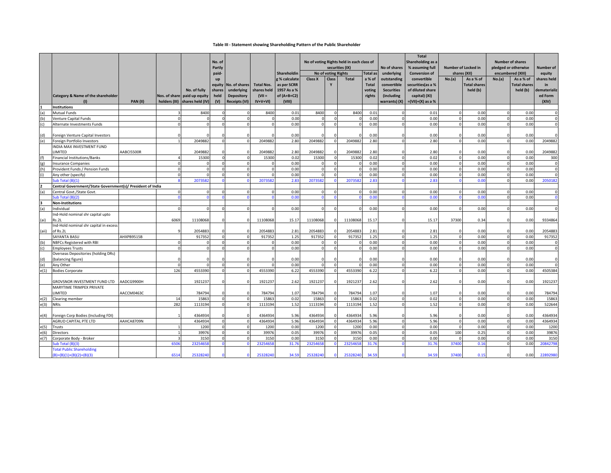### **Table III - Statement showing Shareholding Pattern of the Public Shareholder**

|       |                                                            |                 |                |                                | No. of<br>Partly |                   |                   |               | No of voting Rights held in each class of<br>securities (IX)<br>No of voting Rights |                |              |              | No of shares      | <b>Total</b><br>Shareholding as a<br>% assuming full | Number of Locked in<br>shares (XII) |                     | <b>Number of shares</b><br>pledged or otherwise<br>encumbered (XIII) |                     | <b>Number of</b> |
|-------|------------------------------------------------------------|-----------------|----------------|--------------------------------|------------------|-------------------|-------------------|---------------|-------------------------------------------------------------------------------------|----------------|--------------|--------------|-------------------|------------------------------------------------------|-------------------------------------|---------------------|----------------------------------------------------------------------|---------------------|------------------|
|       |                                                            |                 |                |                                | paid-            |                   |                   | Shareholdin   |                                                                                     |                |              | Total as     | underlying        | <b>Conversion of</b>                                 |                                     |                     |                                                                      |                     | equity           |
|       |                                                            |                 |                |                                | $\mathbf{u}$     |                   |                   | g % calculate | Class X                                                                             | <b>Class</b>   | <b>Total</b> | a % of       | outstanding       | convertible                                          | No.(a)                              | As a % of           | No.(a)                                                               | As a % of           | shares held      |
|       |                                                            |                 |                |                                | equity           | No. of shares     | <b>Total Nos.</b> | as per SCRR   |                                                                                     |                |              | <b>Total</b> | convertible       | securities(as a %                                    |                                     | <b>Total shares</b> |                                                                      | <b>Total shares</b> | in               |
|       |                                                            |                 |                | No. of fully                   | shares           | underlying        | shares held       | 1957 As a %   |                                                                                     |                |              | voting       | <b>Securities</b> | of diluted share                                     |                                     | held (b)            |                                                                      | held (b)            | dematerializ     |
|       | Category & Name of the shareholder                         |                 |                | Nos. of share paid up equity   | held             | <b>Depository</b> | $(VII =$          | of $(A+B+C2)$ |                                                                                     |                |              | rights       | (including        | capital) (XI)                                        |                                     |                     |                                                                      |                     | ed Form          |
|       | (1)                                                        | <b>PAN (II)</b> |                | holders (III) shares held (IV) | (V)              | Receipts (VI)     | $IV+V+VI$         | (VIII)        |                                                                                     |                |              |              |                   | warrants) $(X)$ =(VII)+(X) as a %                    |                                     |                     |                                                                      |                     | (XIV)            |
|       | <b>Institutions</b>                                        |                 |                |                                |                  |                   |                   |               |                                                                                     |                |              |              |                   |                                                      |                                     |                     |                                                                      |                     |                  |
| (a)   | <b>Mutual Funds</b>                                        |                 | $\mathbf{z}$   | 8400                           |                  |                   | 8400              | 0.01          | 8400                                                                                | $\sqrt{ }$     | 8400         | 0.01         | $\Omega$          | 0.01                                                 | $\Omega$                            | 0.00                | $\Omega$                                                             | 0.00                | $\Omega$         |
| (b)   | Venture Capital Funds                                      |                 | $\Omega$       |                                |                  |                   |                   | 0.00          |                                                                                     | $\Omega$       |              | 0.00         |                   | 0.00                                                 |                                     | 0.00                |                                                                      | 0.00                | $\mathbf 0$      |
| (r    | Alternate Investments Funds                                |                 | C              |                                |                  | $\Omega$          |                   | 0.00          |                                                                                     |                |              | 0.00         |                   | 0.00                                                 |                                     | 0.00                |                                                                      | 0.00                | $\Omega$         |
|       |                                                            |                 |                |                                |                  |                   |                   |               |                                                                                     |                |              |              |                   |                                                      |                                     |                     |                                                                      |                     |                  |
| (d)   | Foreign Venture Capital Investors                          |                 |                |                                |                  |                   |                   | 0.00          |                                                                                     |                |              | 0.00         |                   | 0.00                                                 |                                     | 0.00                |                                                                      | 0.00                | $\Omega$         |
| (e)   | Foreign Portfolio Investors                                |                 |                | 2049882                        | $\Omega$         | $\Omega$          | 2049882           | 2.80          | 2049882                                                                             | $\sqrt{2}$     | 2049882      | 2.80         | $\Omega$          | 2.80                                                 | $\Omega$                            | 0.00                | $\Omega$                                                             | 0.00                | 2049882          |
|       | INDIA MAX INVESTMENT FUND                                  |                 |                |                                |                  |                   |                   |               |                                                                                     |                |              |              |                   |                                                      |                                     |                     |                                                                      |                     |                  |
|       | LIMITED                                                    | AABCI5500R      |                | 2049882                        |                  |                   | 2049882           | 2.80          | 2049882                                                                             |                | 2049882      | 2.80         |                   | 2.80                                                 |                                     | 0.00                |                                                                      | 0.00                | 2049882          |
| (f)   | <b>Financial Institutions/Banks</b>                        |                 | $\Delta$       | 15300                          | $\mathbf{0}$     | $\overline{0}$    | 15300             | 0.02          | 15300                                                                               | $\Omega$       | 15300        | 0.02         | $\Omega$          | 0.02                                                 | $\mathbf 0$                         | 0.00                | $\mathbf{0}$                                                         | 0.00                | 300              |
| (g)   | Insurance Companies                                        |                 | $\Omega$       | $\Omega$                       | $\Omega$         | $\overline{0}$    | $\sqrt{ }$        | 0.00          |                                                                                     | $\Omega$       |              | 0.00         | $\Omega$          | 0.00                                                 | $\Omega$                            | 0.00                | $\Omega$                                                             | 0.00                | $^{\circ}$       |
| (h)   | Provident Funds / Pension Funds                            |                 | $\Omega$       | $\Omega$                       | $\Omega$         | $\overline{0}$    | $\sqrt{ }$        | 0.00          |                                                                                     | $\Omega$       |              | 0.00         | $\Omega$          | 0.00                                                 | $\Omega$                            | 0.00                | $\Omega$                                                             | 0.00                | $\mathbf{0}$     |
|       | Any other (specify)                                        |                 | $\Omega$       |                                |                  | $\Omega$          |                   | 0.00          |                                                                                     |                |              | 0.00         |                   | 0.00                                                 |                                     | 0.00                |                                                                      | 0.00                | $\mathbf{0}$     |
|       | Sub Total (B)(1)                                           |                 | Я              | 207358                         |                  |                   | 2073582           | 2.83          | 207358                                                                              |                | 207358       | 2.83         |                   | 2.83                                                 |                                     | 0.00                | $\Omega$                                                             | 0.00                | 2050182          |
|       | Central Government/State Government(s)/ President of India |                 |                |                                |                  |                   |                   |               |                                                                                     |                |              |              |                   |                                                      |                                     |                     |                                                                      |                     |                  |
| (a)   | Central Govt./State Govt.                                  |                 | $\Omega$       | $\Omega$                       | $\Omega$         | $\Omega$          |                   | 0.00          |                                                                                     | $\Omega$       |              | 0.00         |                   | 0.00                                                 | $\Omega$                            | 0.00                |                                                                      | 0.00                | $\mathbf 0$      |
|       | Sub Total (B)(2)                                           |                 |                |                                |                  |                   |                   | 0.00          |                                                                                     |                |              | 0.00         |                   | 0.00                                                 |                                     | 0.00                |                                                                      | 0.00                | $\Omega$         |
|       | <b>Non-Institutions</b>                                    |                 |                |                                |                  |                   |                   |               |                                                                                     |                |              |              |                   |                                                      |                                     |                     |                                                                      |                     |                  |
| (a)   | ndividual                                                  |                 | $\Omega$       |                                |                  | $\Omega$          |                   | 0.00          |                                                                                     |                |              | 0.00         |                   | 0.00                                                 |                                     | 0.00                |                                                                      | 0.00                | $\Omega$         |
|       | Ind-Hold nominal shr capital upto                          |                 |                |                                |                  |                   |                   |               |                                                                                     |                |              |              |                   |                                                      |                                     |                     |                                                                      |                     |                  |
| (ai)  | Rs.2L                                                      |                 | 6069           | 11108068                       |                  | $\Omega$          | 11108068          | 15.17         | 11108068                                                                            |                | 11108068     | 15.17        |                   | 15.17                                                | 37300                               | 0.34                |                                                                      | 0.00                | 9334864          |
|       | Ind-Hold nominal shr capital in excess                     |                 |                |                                |                  |                   |                   |               |                                                                                     |                |              |              |                   |                                                      |                                     |                     |                                                                      |                     |                  |
| (aii) | of Rs.2L                                                   |                 |                | 2054883                        | $\Omega$         | $\Omega$          | 2054883           | 2.81          | 2054883                                                                             |                | 2054883      | 2.81         |                   | 2.81                                                 | $\sqrt{ }$                          | 0.00                | $\Omega$                                                             | 0.00                | 2054883          |
|       | <b>SAYANTA BASU</b>                                        | AHXPB9515B      |                | 917352                         | $\Omega$         | $\Omega$          | 917352            | 1.25          | 917352                                                                              | $\Omega$       | 917352       | 1.25         | $\Omega$          | 1.25                                                 | $\Omega$                            | 0.00                | $\Omega$                                                             | 0.00                | 917352           |
| (b)   | NBFCs Registered with RBI                                  |                 | C              | $\Omega$                       | $\Omega$         | $\overline{0}$    |                   | 0.00          |                                                                                     | $\sqrt{2}$     |              | 0.00         |                   | 0.00                                                 |                                     | 0.00                |                                                                      | 0.00                | $\mathbf 0$      |
| (c)   | <b>Employees Trusts</b>                                    |                 | $\Omega$       |                                |                  | $\Omega$          |                   | 0.00          |                                                                                     |                |              | 0.00         |                   | 0.00                                                 |                                     | 0.00                |                                                                      | 0.00                | $\mathbf 0$      |
|       | Overseas Depositories (holding DRs)                        |                 |                |                                |                  |                   |                   |               |                                                                                     |                |              |              |                   |                                                      |                                     |                     |                                                                      |                     |                  |
| (d)   | (balancing figure)                                         |                 | $\Omega$       | $\Omega$                       | $\Omega$         | $\Omega$          | $\sqrt{ }$        | 0.00          |                                                                                     |                |              | 0.00         |                   | 0.00                                                 | $\sqrt{ }$                          | 0.00                | $\Omega$                                                             | 0.00                | $\mathbf 0$      |
| (e)   | Any Other                                                  |                 | $\Omega$       | $\Omega$                       |                  | $\Omega$          |                   | 0.00          |                                                                                     |                |              | 0.00         |                   | 0.00                                                 |                                     | 0.00                |                                                                      | 0.00                | $\mathbf 0$      |
| e(1)  | <b>Bodies Corporate</b>                                    |                 | 126            | 4553390                        |                  | $\Omega$          | 4553390           | 6.22          | 4553390                                                                             |                | 4553390      | 6.22         |                   | 6.22                                                 |                                     | 0.00                | $\Omega$                                                             | 0.00                | 4505384          |
|       |                                                            |                 |                |                                |                  |                   |                   |               |                                                                                     |                |              |              |                   |                                                      |                                     |                     |                                                                      |                     |                  |
|       | GROVSNOR INVESTMENT FUND LTD                               | AADCG9900H      |                | 1921237                        |                  | $\Omega$          | 1921237           | 2.62          | 1921237                                                                             |                | 1921237      | 2.62         |                   | 2.62                                                 |                                     | 0.00                | $\Omega$                                                             | 0.00                | 1921237          |
|       | MARYTIME TRIMPEX PRIVATE                                   |                 |                |                                |                  |                   |                   |               |                                                                                     |                |              |              |                   |                                                      |                                     |                     |                                                                      |                     |                  |
|       | <b>LIMITED</b>                                             | AACCM0463C      |                | 784794                         | $\Omega$         | $\Omega$          | 784794            | 1.07          | 784794                                                                              |                | 784794       | 1.07         |                   | 1.07                                                 |                                     | 0.00                | $\Omega$                                                             | 0.00                | 784794           |
| e(2)  | Clearing member                                            |                 | 14             | 15863                          | $\Omega$         | $\mathbf 0$       | 15863             | 0.02          | 1586                                                                                | $\sqrt{ }$     | 15863        | 0.02         | $\Omega$          | 0.02                                                 | $\Omega$                            | 0.00                | $\Omega$                                                             | 0.00                | 15863            |
| e(3)  | <b>NRIS</b>                                                |                 | 282            | 1113194                        | $\Omega$         | $\Omega$          | 1113194           | 1.52          | 1113194                                                                             | $\Omega$       | 1113194      | 1.52         | $\Omega$          | 1.52                                                 | $\Omega$                            | 0.00                | $\Omega$                                                             | 0.00                | 522644           |
|       |                                                            |                 |                |                                |                  |                   |                   |               |                                                                                     |                |              |              |                   |                                                      |                                     |                     |                                                                      |                     |                  |
| e(4)  | Foreign Corp Bodies (Including FDI)                        |                 |                | 4364934                        | $\Omega$         | $\Omega$          | 4364934           | 5.96          | 4364934                                                                             |                | 436493       | 5.96         |                   | 5.96                                                 |                                     | 0.00                | $\Omega$                                                             | 0.00                | 4364934          |
|       | <b>AGRUD CAPITAL PTE LTD</b>                               | AAHCA8709N      |                | 4364934                        | $\mathbf 0$      | $\mathbf{0}$      | 4364934           | 5.96          | 4364934                                                                             | $\mathfrak{g}$ | 4364934      | 5.96         |                   | 5.96                                                 | $\Omega$                            | 0.00                | $\Omega$                                                             | 0.00                | 4364934          |
| e(5)  | Trusts                                                     |                 |                | 1200                           | $\Omega$         | $\mathbf 0$       | 1200              | 0.00          | 1200                                                                                | $\Omega$       | 1200         | 0.00         | $\Omega$          | 0.00                                                 | $\overline{0}$                      | 0.00                | $\Omega$                                                             | 0.00                | 1200             |
| e(6)  | <b>Directors</b>                                           |                 | $\overline{1}$ | 39976                          | $\mathbf 0$      | $\mathbf 0$       | 39976             | 0.05          | 39976                                                                               | $\Omega$       | 39976        | 0.05         | $\Omega$          | 0.05                                                 | 100                                 | 0.25                | $\Omega$                                                             | 0.00                | 39876            |
| e(7)  | Corporate Body - Broker                                    |                 |                | 3150                           | $\Omega$         | $\Omega$          | 3150              | 0.00          | 3150                                                                                | $\Omega$       | 3150         | 0.00         |                   | 0.00                                                 |                                     | 0.00                | $\Omega$                                                             | 0.00                | 3150             |
|       | ub Total (B)(3)                                            |                 | 6506           | 2325465                        |                  |                   | 23254658          | 31.76         | 2325465                                                                             |                | 232546       | 31.76        |                   | 31.76                                                | 37400                               | 0.16                |                                                                      | 0.00                | 20842798         |
|       | <b>Total Public Shareholding</b>                           |                 |                |                                |                  |                   |                   |               |                                                                                     |                |              |              |                   |                                                      |                                     |                     |                                                                      |                     |                  |
|       | $(B)=(B)(1)+(B)(2)+(B)(3)$                                 |                 | 6514           | 25328240                       |                  | $\Omega$          | 25328240          | 34.59         | 25328240                                                                            |                | 25328240     | 34.59        |                   | 34.59                                                | 37400                               | 0.15                | $\Omega$                                                             | 0.00                | 22892980         |